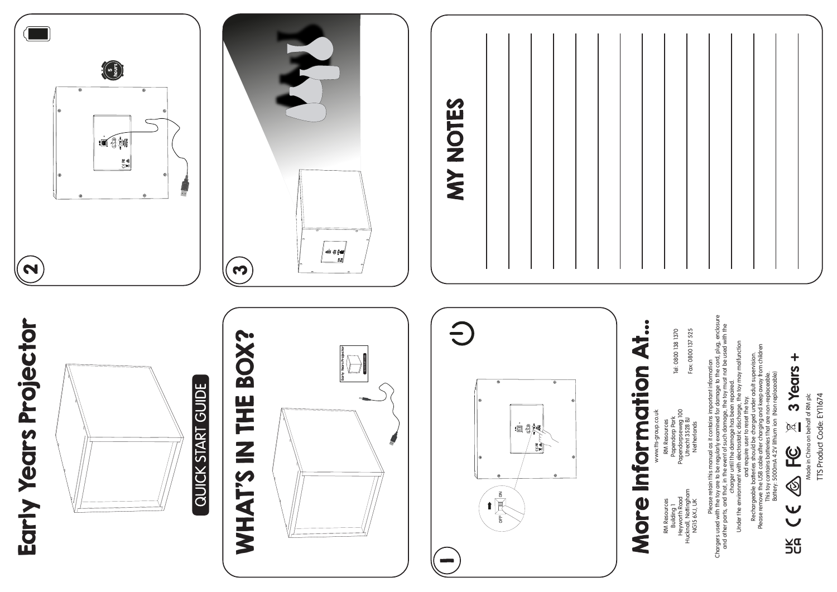

 $\overline{\mathbf{N}}$ 



م<br>5<br>1

i şil

# QUICK START GUIDE







**MY NOTES** 

## More Information At... www.tts-group.co.uk www.tts-group.co.uk RM Resources RM Resources

RM Resources<br>Building 1<br>Heyworth Road<br>Hucknall, Notiingham<br>MGI5 6XJ, UK Heyworth Road Hucknall, Nottingham NG15 6XJ, UK

RM Resources<br>Papendorp Park<br>Papendorpseweg 100<br>Utrecht 3528 BJ<br>Netherlands Papendorpseweg 100 Papendorp Park Utrecht 3528 BJ Netherlands

Please retain this manual as it contains important information

charger until the damage has been repaired. Under the environment with electrostatic discharge, the toy may malfunction and require user to reset the toy. Rechargeable batteries should be charged under adult supervision. Please remove the USB cable after charging and keep away from children This toy contains batteries that are non-replaceable. Battery: 5000mA 4.2V lithium ion (Non replaceable)

**3 Years +**

Made in China on behalf of RM plc TTS Product Code: EY11674

TTS Product Code: EY11674

 $\bigotimes_{\tiny{\mathsf{Mod}}\text{-}\mathsf{Gamma}}\mathsf{FC} \cong 3\text{ Years} +$ 

 $\cup$ 

**NE** 

Please redain this manual as it contains important information<br>and other parts, and that, in the event of such damage to the and plug, enclosure<br>and other parts, and that, in the event of such damage, the toy must not be u Chargers used with the toy are to be regularly examined for damage to the cord, plug, enclosure and other parts, and that, in the event of such damage, the toy must not be used with the